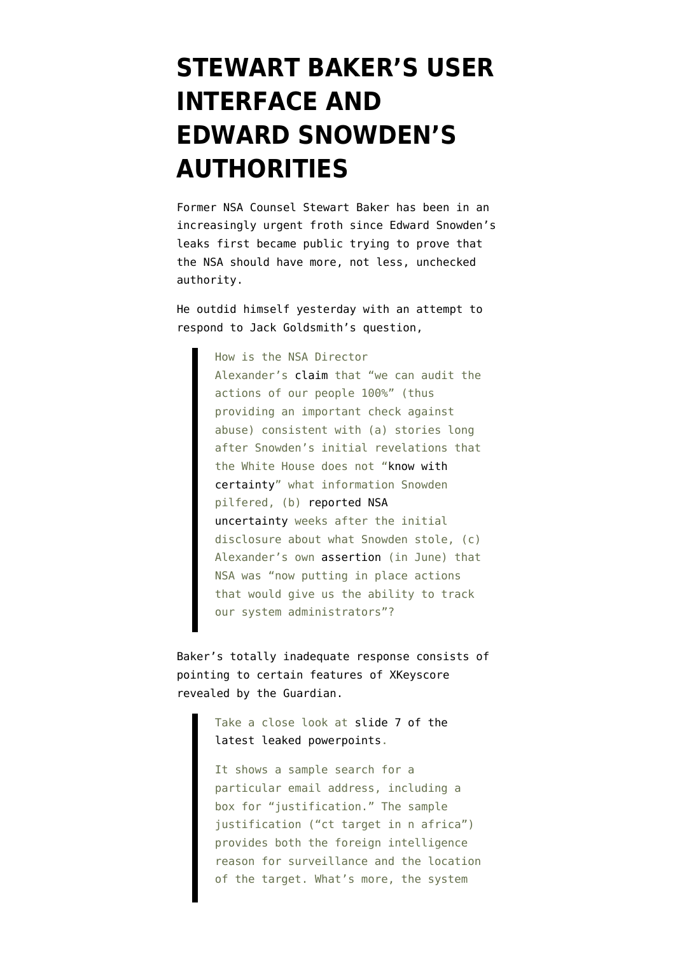## **[STEWART BAKER'S USER](https://www.emptywheel.net/2013/08/04/stewart-bakers-user-interface-and-edward-snowdens-authorities/) [INTERFACE AND](https://www.emptywheel.net/2013/08/04/stewart-bakers-user-interface-and-edward-snowdens-authorities/) [EDWARD SNOWDEN'S](https://www.emptywheel.net/2013/08/04/stewart-bakers-user-interface-and-edward-snowdens-authorities/) [AUTHORITIES](https://www.emptywheel.net/2013/08/04/stewart-bakers-user-interface-and-edward-snowdens-authorities/)**

Former NSA Counsel Stewart Baker has been in an increasingly urgent froth since Edward Snowden's leaks first became public trying to prove that the NSA should have more, not less, unchecked authority.

He outdid himself yesterday with an [attempt](http://www.volokh.com/2013/08/03/does-nsa-work-harder-to-protect-privacy-than-to-protect-national-security/) to respond to Jack Goldsmith's [question](http://www.volokh.com/2013/08/03/does-nsa-work-harder-to-protect-privacy-than-to-protect-national-security/),

> How is the NSA Director Alexander's [claim](http://www.rawstory.com/rs/2013/07/31/nsa-director-keith-alexander-insists-mass-surveillance-programs-respect-privacy/) that "we can audit the actions of our people 100%" (thus providing an important check against abuse) consistent with (a) stories long after Snowden's initial revelations that the White House does not ["know with](http://abcnews.go.com/Blotter/white-house-unsure-files-edward-snowden/story?id=19514086) [certainty](http://abcnews.go.com/Blotter/white-house-unsure-files-edward-snowden/story?id=19514086)" what information Snowden pilfered, (b) [reported NSA](http://www.washingtonpost.com/world/national-security/us-officials-worried-about-security-of-files-snowden-is-thought-to-have/2013/06/24/1e036964-dd09-11e2-85de-c03ca84cb4ef_story.html?Post%20generic=%3Ftid%3Dsm_twitter_washingtonpost) [uncertainty](http://www.washingtonpost.com/world/national-security/us-officials-worried-about-security-of-files-snowden-is-thought-to-have/2013/06/24/1e036964-dd09-11e2-85de-c03ca84cb4ef_story.html?Post%20generic=%3Ftid%3Dsm_twitter_washingtonpost) weeks after the initial disclosure about what Snowden stole, (c) Alexander's own [assertion](http://abcnews.go.com/Politics/week-transcript-nsa-director-gen-keith-alexander/storyNew?id=19457454&singlePage=true) (in June) that NSA was "now putting in place actions that would give us the ability to track our system administrators"?

Baker's totally inadequate response consists of pointing to certain features of XKeyscore revealed by the Guardian.

> Take a close look at [slide 7 of the](http://www.theguardian.com/world/2013/jul/31/nsa-top-secret-program-online-data) [latest leaked powerpoints](http://www.theguardian.com/world/2013/jul/31/nsa-top-secret-program-online-data).

It shows a sample search for a particular email address, including a box for "justification." The sample justification ("ct target in n africa") provides both the foreign intelligence reason for surveillance and the location of the target. What's more, the system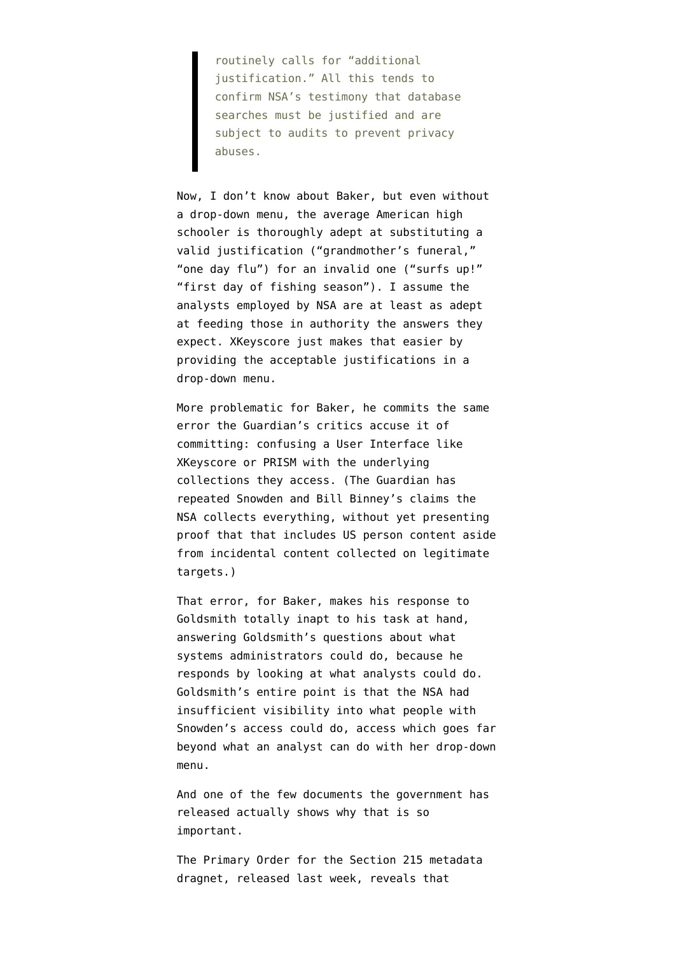routinely calls for "additional justification." All this tends to confirm NSA's testimony that database searches must be justified and are subject to audits to prevent privacy abuses.

Now, I don't know about Baker, but even without a drop-down menu, the average American high schooler is thoroughly adept at substituting a valid justification ("grandmother's funeral," "one day flu") for an invalid one ("surfs up!" "first day of fishing season"). I assume the analysts employed by NSA are at least as adept at feeding those in authority the answers they expect. XKeyscore just makes that easier by providing the acceptable justifications in a drop-down menu.

More problematic for Baker, he commits the same error the Guardian's critics accuse it of committing: confusing a User Interface like XKeyscore or PRISM with the underlying collections they access. (The Guardian has repeated Snowden and Bill Binney's claims the NSA collects everything, without yet presenting proof that that includes US person content aside from incidental content collected on legitimate targets.)

That error, for Baker, makes his response to Goldsmith totally inapt to his task at hand, answering Goldsmith's questions about what systems administrators could do, because he responds by looking at what analysts could do. Goldsmith's entire point is that the NSA had insufficient visibility into what people with Snowden's access could do, access which goes far beyond what an analyst can do with her drop-down menu.

And one of the few documents the government has released actually shows why that is so important.

The [Primary Order for the Section 215 metadata](http://www.emptywheel.net/wp-content/uploads/2013/08/PrimaryOrder_Collection_215.pdf) [dragnet,](http://www.emptywheel.net/wp-content/uploads/2013/08/PrimaryOrder_Collection_215.pdf) released last week, reveals that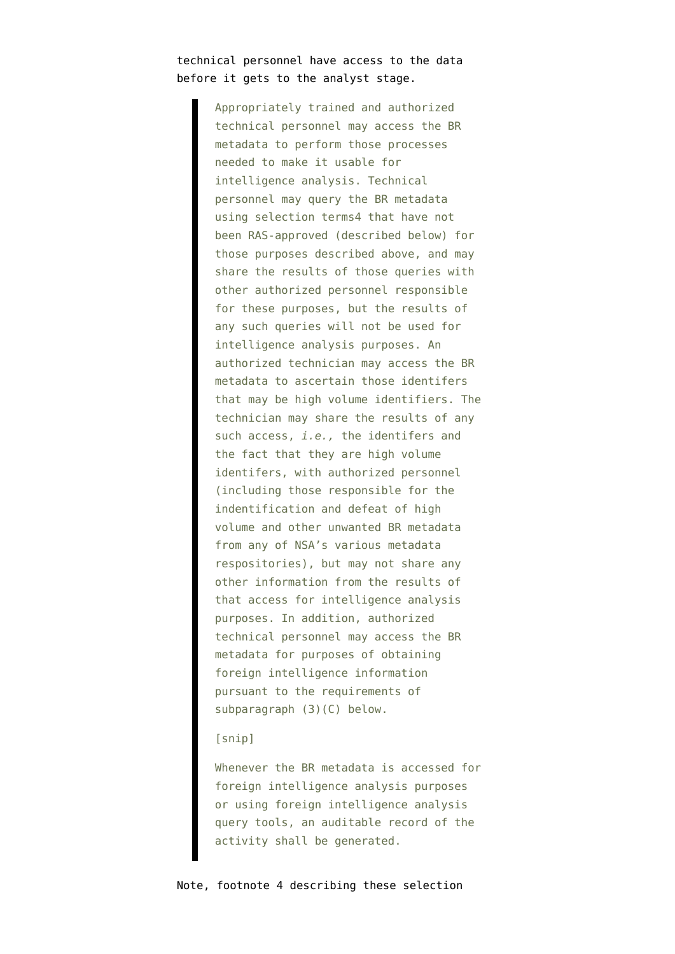## technical personnel have access to the data before it gets to the analyst stage.

Appropriately trained and authorized technical personnel may access the BR metadata to perform those processes needed to make it usable for intelligence analysis. Technical personnel may query the BR metadata using selection terms4 that have not been RAS-approved (described below) for those purposes described above, and may share the results of those queries with other authorized personnel responsible for these purposes, but the results of any such queries will not be used for intelligence analysis purposes. An authorized technician may access the BR metadata to ascertain those identifers that may be high volume identifiers. The technician may share the results of any such access, *i.e.,* the identifers and the fact that they are high volume identifers, with authorized personnel (including those responsible for the indentification and defeat of high volume and other unwanted BR metadata from any of NSA's various metadata respositories), but may not share any other information from the results of that access for intelligence analysis purposes. In addition, authorized technical personnel may access the BR metadata for purposes of obtaining foreign intelligence information pursuant to the requirements of subparagraph (3)(C) below.

## [snip]

Whenever the BR metadata is accessed for foreign intelligence analysis purposes or using foreign intelligence analysis query tools, an auditable record of the activity shall be generated.

Note, footnote 4 describing these selection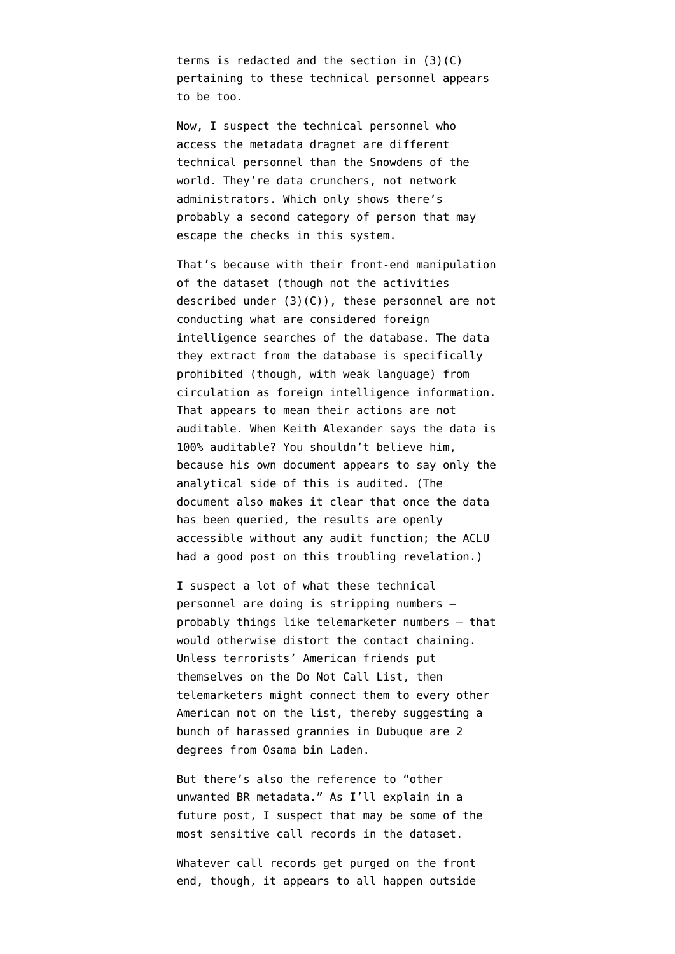terms is redacted and the section in (3)(C) pertaining to these technical personnel appears to be too.

Now, I suspect the technical personnel who access the metadata dragnet are different technical personnel than the Snowdens of the world. They're data crunchers, not network administrators. Which only shows there's probably a second category of person that may escape the checks in this system.

That's because with their front-end manipulation of the dataset (though not the activities described under (3)(C)), these personnel are not conducting what are considered foreign intelligence searches of the database. The data they extract from the database is specifically prohibited (though, with weak language) from circulation as foreign intelligence information. That appears to mean their actions are not auditable. When Keith Alexander says the data is 100% auditable? You shouldn't believe him, because his own document appears to say only the analytical side of this is audited. (The document also makes it clear that once the data has been queried, the results are openly accessible without any audit function; the [ACLU](http://www.aclu.org/blog/national-security/raiding-corporate-store-nsas-unfettered-access-vast-pool-americans-phone-data) [had a good post](http://www.aclu.org/blog/national-security/raiding-corporate-store-nsas-unfettered-access-vast-pool-americans-phone-data) on this troubling revelation.)

I suspect a lot of what these technical personnel are doing is stripping numbers probably things like telemarketer numbers — that would otherwise distort the contact chaining. Unless terrorists' American friends put themselves on the Do Not Call List, then telemarketers might connect them to every other American not on the list, thereby suggesting a bunch of harassed grannies in Dubuque are 2 degrees from Osama bin Laden.

But there's also the reference to "other unwanted BR metadata." As I'll explain in a future post, I suspect that may be some of the most sensitive call records in the dataset.

Whatever call records get purged on the front end, though, it appears to all happen outside